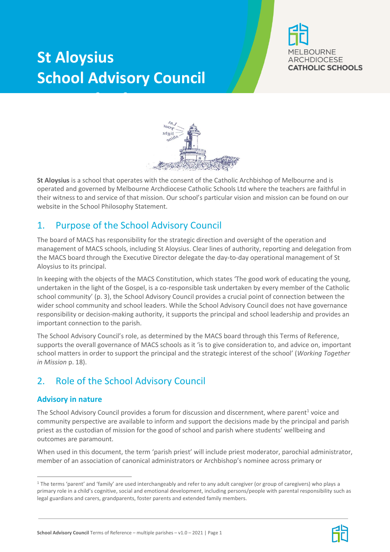# **St Aloysius School Advisory Council**

**Terms of Reference**





**St Aloysius** is a school that operates with the consent of the Catholic Archbishop of Melbourne and is operated and governed by Melbourne Archdiocese Catholic Schools Ltd where the teachers are faithful in their witness to and service of that mission. Our school's particular vision and mission can be found on our website in the School Philosophy Statement.

# 1. Purpose of the School Advisory Council

The board of MACS has responsibility for the strategic direction and oversight of the operation and management of MACS schools, including St Aloysius. Clear lines of authority, reporting and delegation from the MACS board through the Executive Director delegate the day-to-day operational management of St Aloysius to its principal.

In keeping with the objects of the MACS Constitution, which states 'The good work of educating the young, undertaken in the light of the Gospel, is a co-responsible task undertaken by every member of the Catholic school community' (p. 3), the School Advisory Council provides a crucial point of connection between the wider school community and school leaders. While the School Advisory Council does not have governance responsibility or decision-making authority, it supports the principal and school leadership and provides an important connection to the parish.

The School Advisory Council's role, as determined by the MACS board through this Terms of Reference, supports the overall governance of MACS schools as it 'is to give consideration to, and advice on, important school matters in order to support the principal and the strategic interest of the school' (*Working Together in Mission* p. 18).

# 2. Role of the School Advisory Council

# **Advisory in nature**

The School Advisory Council provides a forum for discussion and discernment, where parent<sup>1</sup> voice and community perspective are available to inform and support the decisions made by the principal and parish priest as the custodian of mission for the good of school and parish where students' wellbeing and outcomes are paramount.

When used in this document, the term 'parish priest' will include priest moderator, parochial administrator, member of an association of canonical administrators or Archbishop's nominee across primary or



 $\overline{a}$ <sup>1</sup> The terms 'parent' and 'family' are used interchangeably and refer to any adult caregiver (or group of caregivers) who plays a primary role in a child's cognitive, social and emotional development, including persons/people with parental responsibility such as legal guardians and carers, grandparents, foster parents and extended family members.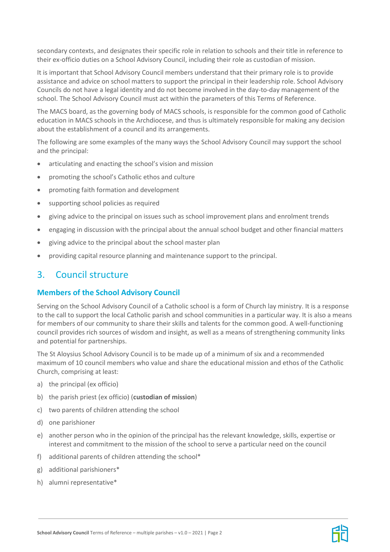secondary contexts, and designates their specific role in relation to schools and their title in reference to their ex-officio duties on a School Advisory Council, including their role as custodian of mission.

It is important that School Advisory Council members understand that their primary role is to provide assistance and advice on school matters to support the principal in their leadership role. School Advisory Councils do not have a legal identity and do not become involved in the day-to-day management of the school. The School Advisory Council must act within the parameters of this Terms of Reference.

The MACS board, as the governing body of MACS schools, is responsible for the common good of Catholic education in MACS schools in the Archdiocese, and thus is ultimately responsible for making any decision about the establishment of a council and its arrangements.

The following are some examples of the many ways the School Advisory Council may support the school and the principal:

- articulating and enacting the school's vision and mission
- promoting the school's Catholic ethos and culture
- promoting faith formation and development
- supporting school policies as required
- giving advice to the principal on issues such as school improvement plans and enrolment trends
- engaging in discussion with the principal about the annual school budget and other financial matters
- giving advice to the principal about the school master plan
- providing capital resource planning and maintenance support to the principal.

# 3. Council structure

# **Members of the School Advisory Council**

Serving on the School Advisory Council of a Catholic school is a form of Church lay ministry. It is a response to the call to support the local Catholic parish and school communities in a particular way. It is also a means for members of our community to share their skills and talents for the common good. A well-functioning council provides rich sources of wisdom and insight, as well as a means of strengthening community links and potential for partnerships.

The St Aloysius School Advisory Council is to be made up of a minimum of six and a recommended maximum of 10 council members who value and share the educational mission and ethos of the Catholic Church, comprising at least:

- a) the principal (ex officio)
- b) the parish priest (ex officio) (**custodian of mission**)
- c) two parents of children attending the school
- d) one parishioner
- e) another person who in the opinion of the principal has the relevant knowledge, skills, expertise or interest and commitment to the mission of the school to serve a particular need on the council
- f) additional parents of children attending the school\*
- g) additional parishioners\*
- h) alumni representative\*

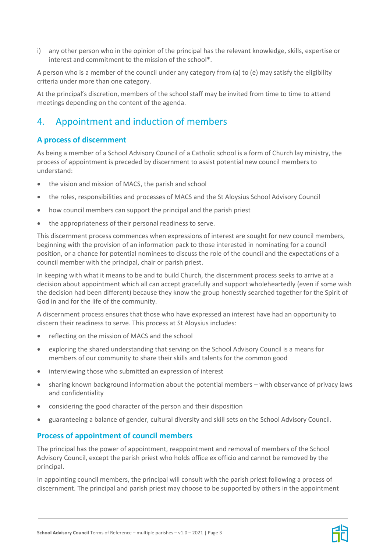i) any other person who in the opinion of the principal has the relevant knowledge, skills, expertise or interest and commitment to the mission of the school\*.

A person who is a member of the council under any category from (a) to (e) may satisfy the eligibility criteria under more than one category.

At the principal's discretion, members of the school staff may be invited from time to time to attend meetings depending on the content of the agenda.

# 4. Appointment and induction of members

# **A process of discernment**

As being a member of a School Advisory Council of a Catholic school is a form of Church lay ministry, the process of appointment is preceded by discernment to assist potential new council members to understand:

- the vision and mission of MACS, the parish and school
- the roles, responsibilities and processes of MACS and the St Aloysius School Advisory Council
- how council members can support the principal and the parish priest
- the appropriateness of their personal readiness to serve.

This discernment process commences when expressions of interest are sought for new council members, beginning with the provision of an information pack to those interested in nominating for a council position, or a chance for potential nominees to discuss the role of the council and the expectations of a council member with the principal, chair or parish priest.

In keeping with what it means to be and to build Church, the discernment process seeks to arrive at a decision about appointment which all can accept gracefully and support wholeheartedly (even if some wish the decision had been different) because they know the group honestly searched together for the Spirit of God in and for the life of the community.

A discernment process ensures that those who have expressed an interest have had an opportunity to discern their readiness to serve. This process at St Aloysius includes:

- reflecting on the mission of MACS and the school
- exploring the shared understanding that serving on the School Advisory Council is a means for members of our community to share their skills and talents for the common good
- interviewing those who submitted an expression of interest
- sharing known background information about the potential members with observance of privacy laws and confidentiality
- considering the good character of the person and their disposition
- guaranteeing a balance of gender, cultural diversity and skill sets on the School Advisory Council.

# **Process of appointment of council members**

The principal has the power of appointment, reappointment and removal of members of the School Advisory Council, except the parish priest who holds office ex officio and cannot be removed by the principal.

In appointing council members, the principal will consult with the parish priest following a process of discernment. The principal and parish priest may choose to be supported by others in the appointment

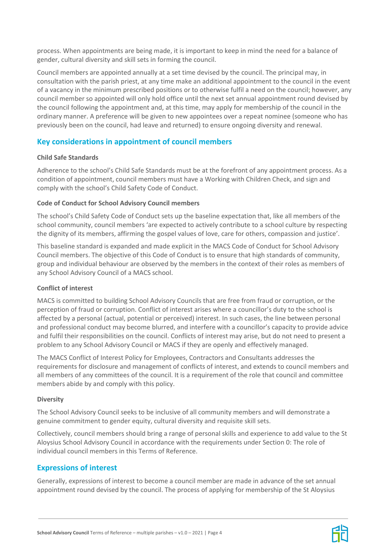process. When appointments are being made, it is important to keep in mind the need for a balance of gender, cultural diversity and skill sets in forming the council.

Council members are appointed annually at a set time devised by the council. The principal may, in consultation with the parish priest, at any time make an additional appointment to the council in the event of a vacancy in the minimum prescribed positions or to otherwise fulfil a need on the council; however, any council member so appointed will only hold office until the next set annual appointment round devised by the council following the appointment and, at this time, may apply for membership of the council in the ordinary manner. A preference will be given to new appointees over a repeat nominee (someone who has previously been on the council, had leave and returned) to ensure ongoing diversity and renewal.

# **Key considerations in appointment of council members**

#### **Child Safe Standards**

Adherence to the school's Child Safe Standards must be at the forefront of any appointment process. As a condition of appointment, council members must have a Working with Children Check, and sign and comply with the school's Child Safety Code of Conduct.

#### **Code of Conduct for School Advisory Council members**

The school's Child Safety Code of Conduct sets up the baseline expectation that, like all members of the school community, council members 'are expected to actively contribute to a school culture by respecting the dignity of its members, affirming the gospel values of love, care for others, compassion and justice'.

This baseline standard is expanded and made explicit in the MACS Code of Conduct for School Advisory Council members. The objective of this Code of Conduct is to ensure that high standards of community, group and individual behaviour are observed by the members in the context of their roles as members of any School Advisory Council of a MACS school.

#### **Conflict of interest**

MACS is committed to building School Advisory Councils that are free from fraud or corruption, or the perception of fraud or corruption. Conflict of interest arises where a councillor's duty to the school is affected by a personal (actual, potential or perceived) interest. In such cases, the line between personal and professional conduct may become blurred, and interfere with a councillor's capacity to provide advice and fulfil their responsibilities on the council. Conflicts of interest may arise, but do not need to present a problem to any School Advisory Council or MACS if they are openly and effectively managed.

The MACS Conflict of Interest Policy for Employees, Contractors and Consultants addresses the requirements for disclosure and management of conflicts of interest, and extends to council members and all members of any committees of the council. It is a requirement of the role that council and committee members abide by and comply with this policy.

#### **Diversity**

The School Advisory Council seeks to be inclusive of all community members and will demonstrate a genuine commitment to gender equity, cultural diversity and requisite skill sets.

Collectively, council members should bring a range of personal skills and experience to add value to the St Aloysius School Advisory Council in accordance with the requirements under Section [0:](#page-5-0) The role of individual council members in this Terms of Reference.

# **Expressions of interest**

Generally, expressions of interest to become a council member are made in advance of the set annual appointment round devised by the council. The process of applying for membership of the St Aloysius

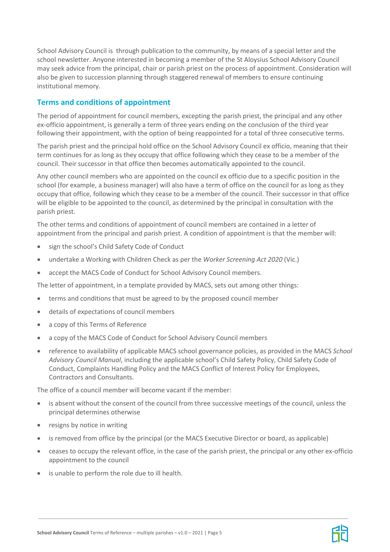School Advisory Council is through publication to the community, by means of a special letter and the school newsletter. Anyone interested in becoming a member of the St Aloysius School Advisory Council may seek advice from the principal, chair or parish priest on the process of appointment. Consideration will also be given to succession planning through staggered renewal of members to ensure continuing institutional memory.

# **Terms and conditions of appointment**

The period of appointment for council members, excepting the parish priest, the principal and any other ex-officio appointment, is generally a term of three years ending on the conclusion of the third year following their appointment, with the option of being reappointed for a total of three consecutive terms.

The parish priest and the principal hold office on the School Advisory Council ex officio, meaning that their term continues for as long as they occupy that office following which they cease to be a member of the council. Their successor in that office then becomes automatically appointed to the council.

Any other council members who are appointed on the council ex officio due to a specific position in the school (for example, a business manager) will also have a term of office on the council for as long as they occupy that office, following which they cease to be a member of the council. Their successor in that office will be eligible to be appointed to the council, as determined by the principal in consultation with the parish priest.

The other terms and conditions of appointment of council members are contained in a letter of appointment from the principal and parish priest. A condition of appointment is that the member will:

- sign the school's Child Safety Code of Conduct
- undertake a Working with Children Check as per the *Worker Screening Act 2020* (Vic.)
- accept the MACS Code of Conduct for School Advisory Council members.

The letter of appointment, in a template provided by MACS, sets out among other things:

- terms and conditions that must be agreed to by the proposed council member
- details of expectations of council members
- a copy of this Terms of Reference
- a copy of the MACS Code of Conduct for School Advisory Council members
- reference to availability of applicable MACS school governance policies, as provided in the MACS *School Advisory Council Manual*, including the applicable school's Child Safety Policy, Child Safety Code of Conduct, Complaints Handling Policy and the MACS Conflict of Interest Policy for Employees, Contractors and Consultants.

The office of a council member will become vacant if the member:

- is absent without the consent of the council from three successive meetings of the council, unless the principal determines otherwise
- resigns by notice in writing
- is removed from office by the principal (or the MACS Executive Director or board, as applicable)
- ceases to occupy the relevant office, in the case of the parish priest, the principal or any other ex-officio appointment to the council
- is unable to perform the role due to ill health.

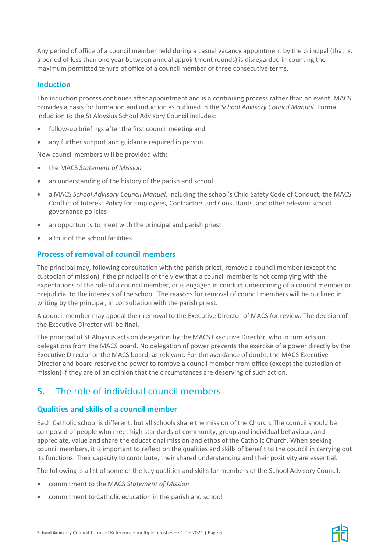Any period of office of a council member held during a casual vacancy appointment by the principal (that is, a period of less than one year between annual appointment rounds) is disregarded in counting the maximum permitted tenure of office of a council member of three consecutive terms.

### <span id="page-5-0"></span>**Induction**

The induction process continues after appointment and is a continuing process rather than an event. MACS provides a basis for formation and induction as outlined in the *School Advisory Council Manual*. Formal induction to the St Aloysius School Advisory Council includes:

- follow-up briefings after the first council meeting and
- any further support and guidance required in person.

New council members will be provided with:

- the MACS *Statement of Mission*
- an understanding of the history of the parish and school
- a MACS *School Advisory Council Manual*, including the school's Child Safety Code of Conduct, the MACS Conflict of Interest Policy for Employees, Contractors and Consultants, and other relevant school governance policies
- an opportunity to meet with the principal and parish priest
- a tour of the school facilities.

# **Process of removal of council members**

The principal may, following consultation with the parish priest, remove a council member (except the custodian of mission) if the principal is of the view that a council member is not complying with the expectations of the role of a council member, or is engaged in conduct unbecoming of a council member or prejudicial to the interests of the school. The reasons for removal of council members will be outlined in writing by the principal, in consultation with the parish priest.

A council member may appeal their removal to the Executive Director of MACS for review. The decision of the Executive Director will be final.

The principal of St Aloysius acts on delegation by the MACS Executive Director, who in turn acts on delegations from the MACS board. No delegation of power prevents the exercise of a power directly by the Executive Director or the MACS board, as relevant. For the avoidance of doubt, the MACS Executive Director and board reserve the power to remove a council member from office (except the custodian of mission) if they are of an opinion that the circumstances are deserving of such action.

# 5. The role of individual council members

# **Qualities and skills of a council member**

Each Catholic school is different, but all schools share the mission of the Church. The council should be composed of people who meet high standards of community, group and individual behaviour, and appreciate, value and share the educational mission and ethos of the Catholic Church. When seeking council members, it is important to reflect on the qualities and skills of benefit to the council in carrying out its functions. Their capacity to contribute, their shared understanding and their positivity are essential.

The following is a list of some of the key qualities and skills for members of the School Advisory Council:

- commitment to the MACS *Statement of Mission*
- commitment to Catholic education in the parish and school

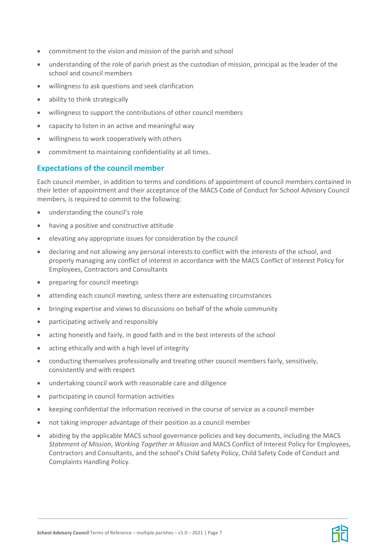- commitment to the vision and mission of the parish and school
- understanding of the role of parish priest as the custodian of mission, principal as the leader of the school and council members
- willingness to ask questions and seek clarification
- ability to think strategically
- willingness to support the contributions of other council members
- capacity to listen in an active and meaningful way
- willingness to work cooperatively with others
- commitment to maintaining confidentiality at all times.

# **Expectations of the council member**

Each council member, in addition to terms and conditions of appointment of council members contained in their letter of appointment and their acceptance of the MACS Code of Conduct for School Advisory Council members, is required to commit to the following:

- understanding the council's role
- having a positive and constructive attitude
- elevating any appropriate issues for consideration by the council
- declaring and not allowing any personal interests to conflict with the interests of the school, and properly managing any conflict of interest in accordance with the MACS Conflict of Interest Policy for Employees, Contractors and Consultants
- preparing for council meetings
- attending each council meeting, unless there are extenuating circumstances
- bringing expertise and views to discussions on behalf of the whole community
- participating actively and responsibly
- acting honestly and fairly, in good faith and in the best interests of the school
- acting ethically and with a high level of integrity
- conducting themselves professionally and treating other council members fairly, sensitively, consistently and with respect
- undertaking council work with reasonable care and diligence
- participating in council formation activities
- keeping confidential the information received in the course of service as a council member
- not taking improper advantage of their position as a council member
- abiding by the applicable MACS school governance policies and key documents, including the MACS *Statement of Mission*, *Working Together in Mission* and MACS Conflict of Interest Policy for Employees, Contractors and Consultants, and the school's Child Safety Policy, Child Safety Code of Conduct and Complaints Handling Policy.

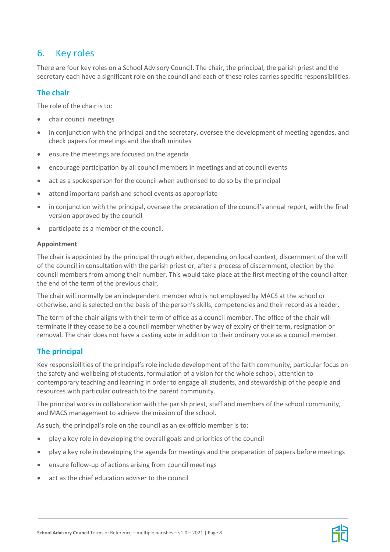# 6. Key roles

There are four key roles on a School Advisory Council. The chair, the principal, the parish priest and the secretary each have a significant role on the council and each of these roles carries specific responsibilities.

# **The chair**

The role of the chair is to:

- chair council meetings
- in conjunction with the principal and the secretary, oversee the development of meeting agendas, and check papers for meetings and the draft minutes
- ensure the meetings are focused on the agenda
- encourage participation by all council members in meetings and at council events
- act as a spokesperson for the council when authorised to do so by the principal
- attend important parish and school events as appropriate
- in conjunction with the principal, oversee the preparation of the council's annual report, with the final version approved by the council
- participate as a member of the council.

#### **Appointment**

The chair is appointed by the principal through either, depending on local context, discernment of the will of the council in consultation with the parish priest or, after a process of discernment, election by the council members from among their number. This would take place at the first meeting of the council after the end of the term of the previous chair.

The chair will normally be an independent member who is not employed by MACS at the school or otherwise, and is selected on the basis of the person's skills, competencies and their record as a leader.

The term of the chair aligns with their term of office as a council member. The office of the chair will terminate if they cease to be a council member whether by way of expiry of their term, resignation or removal. The chair does not have a casting vote in addition to their ordinary vote as a council member.

# **The principal**

Key responsibilities of the principal's role include development of the faith community, particular focus on the safety and wellbeing of students, formulation of a vision for the whole school, attention to contemporary teaching and learning in order to engage all students, and stewardship of the people and resources with particular outreach to the parent community.

The principal works in collaboration with the parish priest, staff and members of the school community, and MACS management to achieve the mission of the school.

As such, the principal's role on the council as an ex-officio member is to:

- play a key role in developing the overall goals and priorities of the council
- play a key role in developing the agenda for meetings and the preparation of papers before meetings
- ensure follow-up of actions arising from council meetings
- act as the chief education adviser to the council

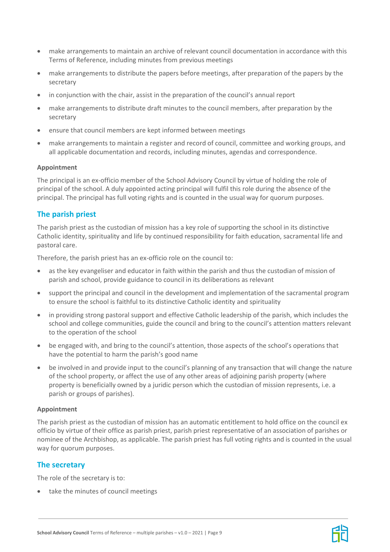- make arrangements to maintain an archive of relevant council documentation in accordance with this Terms of Reference, including minutes from previous meetings
- make arrangements to distribute the papers before meetings, after preparation of the papers by the secretary
- in conjunction with the chair, assist in the preparation of the council's annual report
- make arrangements to distribute draft minutes to the council members, after preparation by the secretary
- ensure that council members are kept informed between meetings
- make arrangements to maintain a register and record of council, committee and working groups, and all applicable documentation and records, including minutes, agendas and correspondence.

#### **Appointment**

The principal is an ex-officio member of the School Advisory Council by virtue of holding the role of principal of the school. A duly appointed acting principal will fulfil this role during the absence of the principal. The principal has full voting rights and is counted in the usual way for quorum purposes.

# **The parish priest**

The parish priest as the custodian of mission has a key role of supporting the school in its distinctive Catholic identity, spirituality and life by continued responsibility for faith education, sacramental life and pastoral care.

Therefore, the parish priest has an ex-officio role on the council to:

- as the key evangeliser and educator in faith within the parish and thus the custodian of mission of parish and school, provide guidance to council in its deliberations as relevant
- support the principal and council in the development and implementation of the sacramental program to ensure the school is faithful to its distinctive Catholic identity and spirituality
- in providing strong pastoral support and effective Catholic leadership of the parish, which includes the school and college communities, guide the council and bring to the council's attention matters relevant to the operation of the school
- be engaged with, and bring to the council's attention, those aspects of the school's operations that have the potential to harm the parish's good name
- be involved in and provide input to the council's planning of any transaction that will change the nature of the school property, or affect the use of any other areas of adjoining parish property (where property is beneficially owned by a juridic person which the custodian of mission represents, i.e. a parish or groups of parishes).

#### **Appointment**

The parish priest as the custodian of mission has an automatic entitlement to hold office on the council ex officio by virtue of their office as parish priest, parish priest representative of an association of parishes or nominee of the Archbishop, as applicable. The parish priest has full voting rights and is counted in the usual way for quorum purposes.

# **The secretary**

The role of the secretary is to:

• take the minutes of council meetings

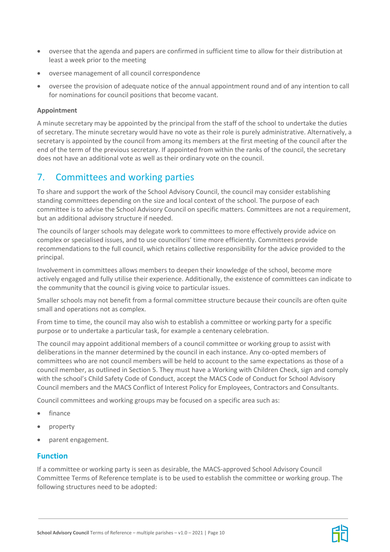- oversee that the agenda and papers are confirmed in sufficient time to allow for their distribution at least a week prior to the meeting
- oversee management of all council correspondence
- oversee the provision of adequate notice of the annual appointment round and of any intention to call for nominations for council positions that become vacant.

#### **Appointment**

A minute secretary may be appointed by the principal from the staff of the school to undertake the duties of secretary. The minute secretary would have no vote as their role is purely administrative. Alternatively, a secretary is appointed by the council from among its members at the first meeting of the council after the end of the term of the previous secretary. If appointed from within the ranks of the council, the secretary does not have an additional vote as well as their ordinary vote on the council.

# 7. Committees and working parties

To share and support the work of the School Advisory Council, the council may consider establishing standing committees depending on the size and local context of the school. The purpose of each committee is to advise the School Advisory Council on specific matters. Committees are not a requirement, but an additional advisory structure if needed.

The councils of larger schools may delegate work to committees to more effectively provide advice on complex or specialised issues, and to use councillors' time more efficiently. Committees provide recommendations to the full council, which retains collective responsibility for the advice provided to the principal.

Involvement in committees allows members to deepen their knowledge of the school, become more actively engaged and fully utilise their experience. Additionally, the existence of committees can indicate to the community that the council is giving voice to particular issues.

Smaller schools may not benefit from a formal committee structure because their councils are often quite small and operations not as complex.

From time to time, the council may also wish to establish a committee or working party for a specific purpose or to undertake a particular task, for example a centenary celebration.

The council may appoint additional members of a council committee or working group to assist with deliberations in the manner determined by the council in each instance. Any co-opted members of committees who are not council members will be held to account to the same expectations as those of a council member, as outlined in Section 5. They must have a Working with Children Check, sign and comply with the school's Child Safety Code of Conduct, accept the MACS Code of Conduct for School Advisory Council members and the MACS Conflict of Interest Policy for Employees, Contractors and Consultants.

Council committees and working groups may be focused on a specific area such as:

- finance
- property
- parent engagement.

#### **Function**

If a committee or working party is seen as desirable, the MACS-approved School Advisory Council Committee Terms of Reference template is to be used to establish the committee or working group. The following structures need to be adopted:

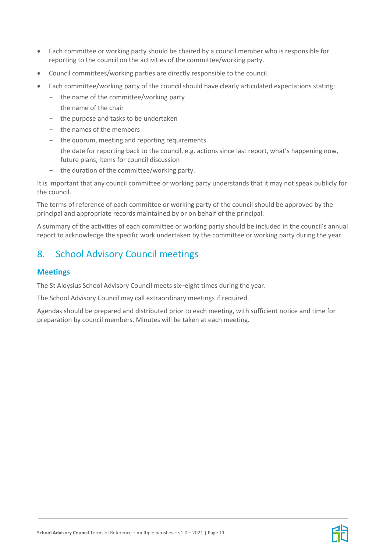- Each committee or working party should be chaired by a council member who is responsible for reporting to the council on the activities of the committee/working party.
- Council committees/working parties are directly responsible to the council.
- Each committee/working party of the council should have clearly articulated expectations stating:
	- the name of the committee/working party
	- the name of the chair
	- the purpose and tasks to be undertaken
	- the names of the members
	- the quorum, meeting and reporting requirements
	- the date for reporting back to the council, e.g. actions since last report, what's happening now, future plans, items for council discussion
	- the duration of the committee/working party.

It is important that any council committee or working party understands that it may not speak publicly for the council.

The terms of reference of each committee or working party of the council should be approved by the principal and appropriate records maintained by or on behalf of the principal.

A summary of the activities of each committee or working party should be included in the council's annual report to acknowledge the specific work undertaken by the committee or working party during the year.

# 8. School Advisory Council meetings

### **Meetings**

The St Aloysius School Advisory Council meets six–eight times during the year.

The School Advisory Council may call extraordinary meetings if required.

Agendas should be prepared and distributed prior to each meeting, with sufficient notice and time for preparation by council members. Minutes will be taken at each meeting.

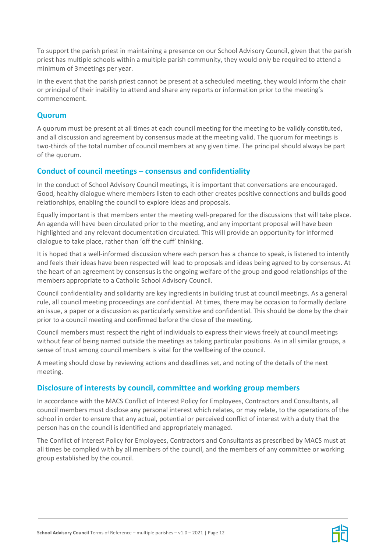To support the parish priest in maintaining a presence on our School Advisory Council, given that the parish priest has multiple schools within a multiple parish community, they would only be required to attend a minimum of 3meetings per year.

In the event that the parish priest cannot be present at a scheduled meeting, they would inform the chair or principal of their inability to attend and share any reports or information prior to the meeting's commencement.

### **Quorum**

A quorum must be present at all times at each council meeting for the meeting to be validly constituted, and all discussion and agreement by consensus made at the meeting valid. The quorum for meetings is two-thirds of the total number of council members at any given time. The principal should always be part of the quorum.

# **Conduct of council meetings – consensus and confidentiality**

In the conduct of School Advisory Council meetings, it is important that conversations are encouraged. Good, healthy dialogue where members listen to each other creates positive connections and builds good relationships, enabling the council to explore ideas and proposals.

Equally important is that members enter the meeting well-prepared for the discussions that will take place. An agenda will have been circulated prior to the meeting, and any important proposal will have been highlighted and any relevant documentation circulated. This will provide an opportunity for informed dialogue to take place, rather than 'off the cuff' thinking.

It is hoped that a well-informed discussion where each person has a chance to speak, is listened to intently and feels their ideas have been respected will lead to proposals and ideas being agreed to by consensus. At the heart of an agreement by consensus is the ongoing welfare of the group and good relationships of the members appropriate to a Catholic School Advisory Council.

Council confidentiality and solidarity are key ingredients in building trust at council meetings. As a general rule, all council meeting proceedings are confidential. At times, there may be occasion to formally declare an issue, a paper or a discussion as particularly sensitive and confidential. This should be done by the chair prior to a council meeting and confirmed before the close of the meeting.

Council members must respect the right of individuals to express their views freely at council meetings without fear of being named outside the meetings as taking particular positions. As in all similar groups, a sense of trust among council members is vital for the wellbeing of the council.

A meeting should close by reviewing actions and deadlines set, and noting of the details of the next meeting.

# **Disclosure of interests by council, committee and working group members**

In accordance with the MACS Conflict of Interest Policy for Employees, Contractors and Consultants, all council members must disclose any personal interest which relates, or may relate, to the operations of the school in order to ensure that any actual, potential or perceived conflict of interest with a duty that the person has on the council is identified and appropriately managed.

The Conflict of Interest Policy for Employees, Contractors and Consultants as prescribed by MACS must at all times be complied with by all members of the council, and the members of any committee or working group established by the council.

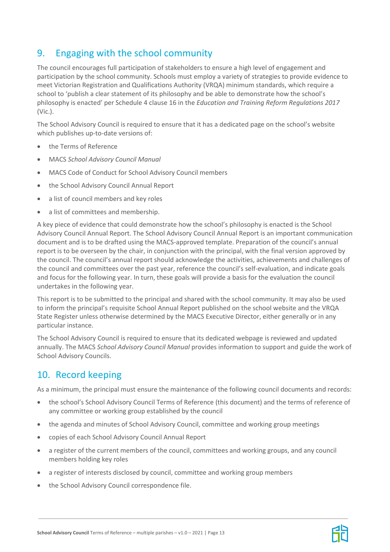# 9. Engaging with the school community

The council encourages full participation of stakeholders to ensure a high level of engagement and participation by the school community. Schools must employ a variety of strategies to provide evidence to meet Victorian Registration and Qualifications Authority (VRQA) minimum standards, which require a school to 'publish a clear statement of its philosophy and be able to demonstrate how the school's philosophy is enacted' per Schedule 4 clause 16 in the *Education and Training Reform Regulations 2017* (Vic.).

The School Advisory Council is required to ensure that it has a dedicated page on the school's website which publishes up-to-date versions of:

- the Terms of Reference
- MACS *School Advisory Council Manual*
- MACS Code of Conduct for School Advisory Council members
- the School Advisory Council Annual Report
- a list of council members and key roles
- a list of committees and membership.

A key piece of evidence that could demonstrate how the school's philosophy is enacted is the School Advisory Council Annual Report. The School Advisory Council Annual Report is an important communication document and is to be drafted using the MACS-approved template. Preparation of the council's annual report is to be overseen by the chair, in conjunction with the principal, with the final version approved by the council. The council's annual report should acknowledge the activities, achievements and challenges of the council and committees over the past year, reference the council's self-evaluation, and indicate goals and focus for the following year. In turn, these goals will provide a basis for the evaluation the council undertakes in the following year.

This report is to be submitted to the principal and shared with the school community. It may also be used to inform the principal's requisite School Annual Report published on the school website and the VRQA State Register unless otherwise determined by the MACS Executive Director, either generally or in any particular instance.

The School Advisory Council is required to ensure that its dedicated webpage is reviewed and updated annually. The MACS *School Advisory Council Manual* provides information to support and guide the work of School Advisory Councils.

# 10. Record keeping

As a minimum, the principal must ensure the maintenance of the following council documents and records:

- the school's School Advisory Council Terms of Reference (this document) and the terms of reference of any committee or working group established by the council
- the agenda and minutes of School Advisory Council, committee and working group meetings
- copies of each School Advisory Council Annual Report
- a register of the current members of the council, committees and working groups, and any council members holding key roles
- a register of interests disclosed by council, committee and working group members
- the School Advisory Council correspondence file.